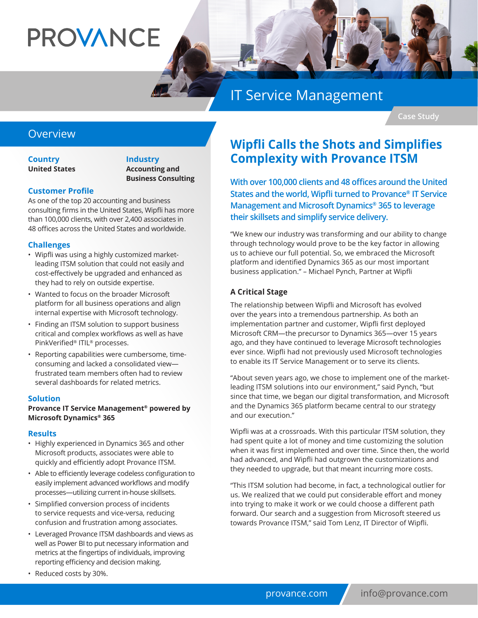# **PROVANCE**

## IT Service Management

**Case Study**

#### Overview

**Country United States** **Industry Accounting and Business Consulting**

#### **Customer Profile**

As one of the top 20 accounting and business consulting firms in the United States, Wipfli has more than 100,000 clients, with over 2,400 associates in 48 offices across the United States and worldwide.

#### **Challenges**

- Wipfli was using a highly customized marketleading ITSM solution that could not easily and cost-effectively be upgraded and enhanced as they had to rely on outside expertise.
- Wanted to focus on the broader Microsoft platform for all business operations and align internal expertise with Microsoft technology.
- Finding an ITSM solution to support business critical and complex workflows as well as have PinkVerified® ITIL® processes.
- Reporting capabilities were cumbersome, timeconsuming and lacked a consolidated view frustrated team members often had to review several dashboards for related metrics.

#### **Solution**

#### **Provance IT Service Management® powered by Microsoft Dynamics® 365**

#### **Results**

- Highly experienced in Dynamics 365 and other Microsoft products, associates were able to quickly and efficiently adopt Provance ITSM.
- Able to efficiently leverage codeless configuration to easily implement advanced workflows and modify processes—utilizing current in-house skillsets.
- Simplified conversion process of incidents to service requests and vice-versa, reducing confusion and frustration among associates.
- Leveraged Provance ITSM dashboards and views as well as Power BI to put necessary information and metrics at the fingertips of individuals, improving reporting efficiency and decision making.
- Reduced costs by 30%.

## **Wipfli Calls the Shots and Simplifies Complexity with Provance ITSM**

**With over 100,000 clients and 48 offices around the United States and the world, Wipfli turned to Provance® IT Service Management and Microsoft Dynamics® 365 to leverage their skillsets and simplify service delivery.** 

"We knew our industry was transforming and our ability to change through technology would prove to be the key factor in allowing us to achieve our full potential. So, we embraced the Microsoft platform and identified Dynamics 365 as our most important business application." – Michael Pynch, Partner at Wipfli

#### **A Critical Stage**

The relationship between Wipfli and Microsoft has evolved over the years into a tremendous partnership. As both an implementation partner and customer, Wipfli first deployed Microsoft CRM—the precursor to Dynamics 365—over 15 years ago, and they have continued to leverage Microsoft technologies ever since. Wipfli had not previously used Microsoft technologies to enable its IT Service Management or to serve its clients.

"About seven years ago, we chose to implement one of the marketleading ITSM solutions into our environment," said Pynch, "but since that time, we began our digital transformation, and Microsoft and the Dynamics 365 platform became central to our strategy and our execution."

Wipfli was at a crossroads. With this particular ITSM solution, they had spent quite a lot of money and time customizing the solution when it was first implemented and over time. Since then, the world had advanced, and Wipfli had outgrown the customizations and they needed to upgrade, but that meant incurring more costs.

"This ITSM solution had become, in fact, a technological outlier for us. We realized that we could put considerable effort and money into trying to make it work or we could choose a different path forward. Our search and a suggestion from Microsoft steered us towards Provance ITSM," said Tom Lenz, IT Director of Wipfli.